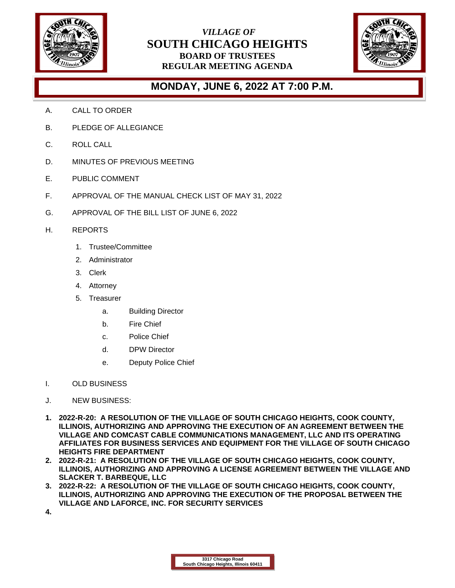

## *VILLAGE OF* **SOUTH CHICAGO HEIGHTS BOARD OF TRUSTEES REGULAR MEETING AGENDA**



## **MONDAY, JUNE 6, 2022 AT 7:00 P.M.**

- A. CALL TO ORDER
- B. PLEDGE OF ALLEGIANCE
- C. ROLL CALL
- D. MINUTES OF PREVIOUS MEETING
- E. PUBLIC COMMENT
- F. APPROVAL OF THE MANUAL CHECK LIST OF MAY 31, 2022
- G. APPROVAL OF THE BILL LIST OF JUNE 6, 2022
- H. REPORTS
	- 1. Trustee/Committee
	- 2. Administrator
	- 3. Clerk
	- 4. Attorney
	- 5. Treasurer
		- a. Building Director
		- b. Fire Chief
		- c. Police Chief
		- d. DPW Director
		- e. Deputy Police Chief
- I. OLD BUSINESS
- J. NEW BUSINESS:
- **1. 2022-R-20: A RESOLUTION OF THE VILLAGE OF SOUTH CHICAGO HEIGHTS, COOK COUNTY, ILLINOIS, AUTHORIZING AND APPROVING THE EXECUTION OF AN AGREEMENT BETWEEN THE VILLAGE AND COMCAST CABLE COMMUNICATIONS MANAGEMENT, LLC AND ITS OPERATING AFFILIATES FOR BUSINESS SERVICES AND EQUIPMENT FOR THE VILLAGE OF SOUTH CHICAGO HEIGHTS FIRE DEPARTMENT**
- **2. 2022-R-21: A RESOLUTION OF THE VILLAGE OF SOUTH CHICAGO HEIGHTS, COOK COUNTY, ILLINOIS, AUTHORIZING AND APPROVING A LICENSE AGREEMENT BETWEEN THE VILLAGE AND SLACKER T. BARBEQUE, LLC**
- **3. 2022-R-22: A RESOLUTION OF THE VILLAGE OF SOUTH CHICAGO HEIGHTS, COOK COUNTY, ILLINOIS, AUTHORIZING AND APPROVING THE EXECUTION OF THE PROPOSAL BETWEEN THE VILLAGE AND LAFORCE, INC. FOR SECURITY SERVICES**
- **4.**